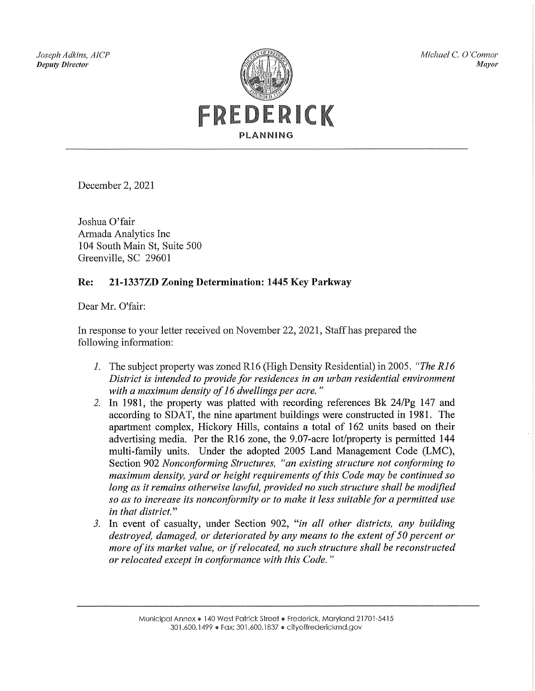Joseph Adkins, AICP **Deputy Director** 



Michael C. O'Connor **Mayor** 

December 2, 2021

Joshua O'fair Armada Analytics Inc 104 South Main St, Suite 500 Greenville, SC 29601

#### Re: 21-1337ZD Zoning Determination: 1445 Key Parkway

Dear Mr. O'fair:

In response to your letter received on November 22, 2021, Staff has prepared the following information:

- *I.* The subject property was zoned R16 (High Density Residential) in 2005. "The R16 District is intended to provide for residences in an urban residential environment with a maximum density of 16 dwellings per acre."
- 2. In 1981, the property was platted with recording references Bk 24/Pg 147 and according to SDAT, the nine apartment buildings were constructed in 1981. The apartment complex, Hickory Hills, contains a total of 162 units based on their advertising media. Per the R16 zone, the 9.07-acre lot/property is permitted 144 multi-family units. Under the adopted 2005 Land Management Code (LMC), Section 902 Nonconforming Structures, "an existing structure not conforming to maximum density, yard or height requirements of this Code may be continued so long as it remains otherwise lawful, provided no such structure shall be modified so as to increase its nonconformity or to make it less suitable for a permitted use in that district."
- 3. In event of casualty, under Section 902, "in all other districts, any building destroyed, damaged, or deteriorated by any means to the extent of 50 percent or more of its market value, or if relocated, no such structure shall be reconstructed or relocated except in conformance with this Code."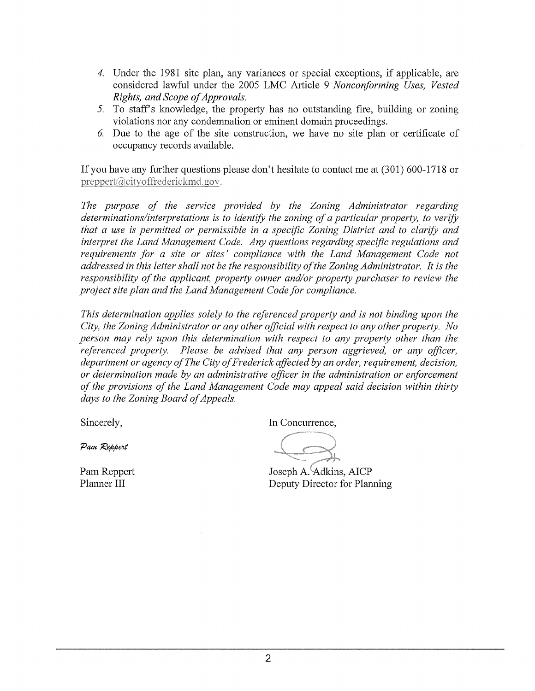- 4. Under the 1981 site plan, any variances or special exceptions, if applicable, are considered lawful under the 2005 LMC Article 9 Nonconforming Uses, Vested Rights, and Scope of Approvals.
- 5. To staff's knowledge, the property has no outstanding fire, building or zoning violations nor any condemnation or eminent domain proceedings.
- 6. Due to the age of the site construction, we have no site plan or certificate of occupancy records available.

If you have any further questions please don't hesitate to contact me at (301) 600-1718 or preppert@cityoffrederickmd.gov.

The purpose of the service provided by the Zoning Administrator regarding determinations/interpretations is to identify the zoning of a particular property, to verify that a use is permitted or permissible in a specific Zoning District and to clarify and interpret the Land Management Code. Any questions regarding specific regulations and requirements for a site or sites' compliance with the Land Management Code not addressed in this letter shall not be the responsibility of the Zoning Administrator. It is the responsibility of the applicant, property owner and/or property purchaser to review the project site plan and the Land Management Code for compliance.

This determination applies solely to the referenced property and is not binding upon the City, the Zoning Administrator or any other official with respect to any other property. No person may rely upon this determination with respect to any property other than the referenced property. Please be advised that any person aggrieved, or any officer, department or agency of The City of Frederick affected by an order, requirement, decision, or determination made by an administrative officer in the administration or enforcement of the provisions of the Land Management Code may appeal said decision within thirty days to the Zoning Board of Appeals.

Sincerely,

In Concurrence,

Pam Reppert

Pam Reppert Planner III

Joseph A. Adkins, AICP Deputy Director for Planning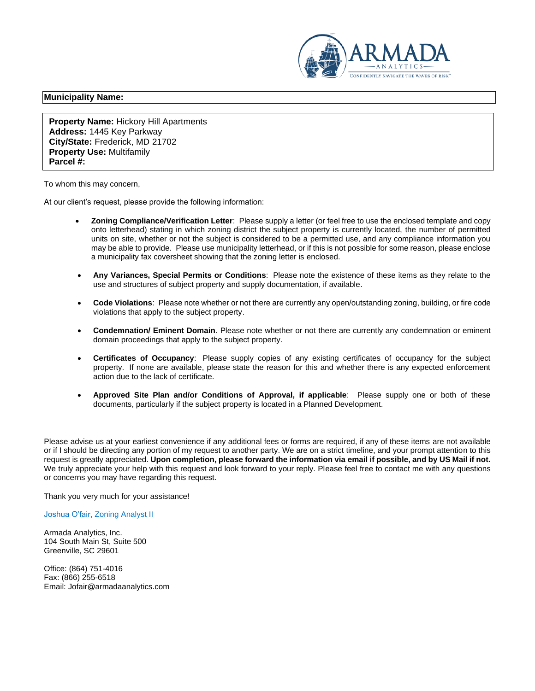

# **Municipality Name:**

**Property Name:** Hickory Hill Apartments **Address:** 1445 Key Parkway **City/State:** Frederick, MD 21702 **Property Use:** Multifamily **Parcel #:**

To whom this may concern,

At our client's request, please provide the following information: 

- **Zoning Compliance/Verification Letter**: Please supply a letter (or feel free to use the enclosed template and copy onto letterhead) stating in which zoning district the subject property is currently located, the number of permitted units on site, whether or not the subject is considered to be a permitted use, and any compliance information you may be able to provide. Please use municipality letterhead, or if this is not possible for some reason, please enclose a municipality fax coversheet showing that the zoning letter is enclosed.
- **Any Variances, Special Permits or Conditions**: Please note the existence of these items as they relate to the use and structures of subject property and supply documentation, if available.
- **Code Violations**: Please note whether or not there are currently any open/outstanding zoning, building, or fire code violations that apply to the subject property.
- **Condemnation/ Eminent Domain**. Please note whether or not there are currently any condemnation or eminent domain proceedings that apply to the subject property.
- **Certificates of Occupancy**: Please supply copies of any existing certificates of occupancy for the subject property. If none are available, please state the reason for this and whether there is any expected enforcement action due to the lack of certificate.
- **Approved Site Plan and/or Conditions of Approval, if applicable**: Please supply one or both of these documents, particularly if the subject property is located in a Planned Development.

Please advise us at your earliest convenience if any additional fees or forms are required, if any of these items are not available or if I should be directing any portion of my request to another party. We are on a strict timeline, and your prompt attention to this request is greatly appreciated. **Upon completion, please forward the information via email if possible, and by US Mail if not.** We truly appreciate your help with this request and look forward to your reply. Please feel free to contact me with any questions or concerns you may have regarding this request.

Thank you very much for your assistance!

#### Joshua O'fair, Zoning Analyst II

Armada Analytics, Inc. 104 South Main St, Suite 500 Greenville, SC 29601

Office: (864) 751-4016 Fax: (866) 255-6518 Email: Jofair@armadaanalytics.com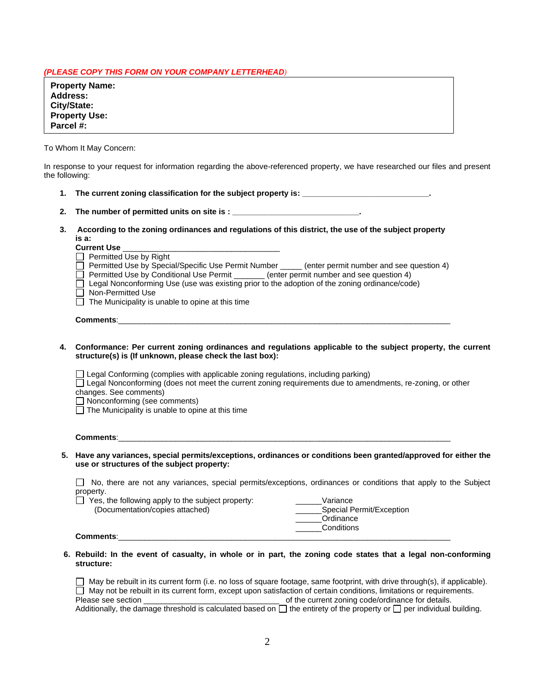# *(PLEASE COPY THIS FORM ON YOUR COMPANY LETTERHEAD)*

| <b>Property Name:</b> |
|-----------------------|
| <b>Address:</b>       |
| City/State:           |
| Property Use:         |
| Parcel #:             |

To Whom It May Concern:

Comments:

In response to your request for information regarding the above-referenced property, we have researched our files and present the following:

**1. The current zoning classification for the subject property is: \_\_\_\_\_\_\_\_\_\_\_\_\_\_\_\_\_\_\_\_\_\_\_\_\_\_\_\_\_.**

**2. The number of permitted units on site is : \_\_\_\_\_\_\_\_\_\_\_\_\_\_\_\_\_\_\_\_\_\_\_\_\_\_\_\_\_.**

**3. According to the zoning ordinances and regulations of this district, the use of the subject property is a:**

|    | <b>Current Use</b><br><u> 1980 - Jan James James Barnett, fransk politik (</u>                                                                                                                                                                                                                                                      |
|----|-------------------------------------------------------------------------------------------------------------------------------------------------------------------------------------------------------------------------------------------------------------------------------------------------------------------------------------|
|    | Permitted Use by Right                                                                                                                                                                                                                                                                                                              |
|    | Permitted Use by Special/Specific Use Permit Number _____ (enter permit number and see question 4)                                                                                                                                                                                                                                  |
|    | □ Permitted Use by Conditional Use Permit ________ (enter permit number and see question 4)                                                                                                                                                                                                                                         |
|    | □ Legal Nonconforming Use (use was existing prior to the adoption of the zoning ordinance/code)                                                                                                                                                                                                                                     |
|    | Non-Permitted Use                                                                                                                                                                                                                                                                                                                   |
|    | The Municipality is unable to opine at this time                                                                                                                                                                                                                                                                                    |
|    | <b>Comments: Comments: Comments: Comments: Comments: Comments: Comments: Comments: Comments: Comments: Comments: Comments: Comments: Comments: Comments: Comments: Comments: Comments: Comme</b>                                                                                                                                    |
|    |                                                                                                                                                                                                                                                                                                                                     |
| 4. | Conformance: Per current zoning ordinances and regulations applicable to the subject property, the current<br>structure(s) is (If unknown, please check the last box):                                                                                                                                                              |
|    | $\Box$ Legal Conforming (complies with applicable zoning regulations, including parking)<br>□ Legal Nonconforming (does not meet the current zoning requirements due to amendments, re-zoning, or other<br>changes. See comments)<br>$\Box$ Nonconforming (see comments)<br>$\Box$ The Municipality is unable to opine at this time |
|    |                                                                                                                                                                                                                                                                                                                                     |
|    |                                                                                                                                                                                                                                                                                                                                     |
|    | 5. Have any variances, special permits/exceptions, ordinances or conditions been granted/approved for either the<br>use or structures of the subject property:                                                                                                                                                                      |
|    | No, there are not any variances, special permits/exceptions, ordinances or conditions that apply to the Subject                                                                                                                                                                                                                     |

property. Property:  $\Box$  Yes, the following apply to the subject property: \_\_\_\_\_\_\_\_Variance (Documentatio

| ing apply to the subject property: | variance                 |
|------------------------------------|--------------------------|
| on/copies attached)                | Special Permit/Exception |
|                                    | Ordinance                |
|                                    | Conditions               |
|                                    |                          |

### **6. Rebuild: In the event of casualty, in whole or in part, the zoning code states that a legal non-conforming structure:**

| $\Box$ May be rebuilt in its current form (i.e. no loss of square footage, same footprint, with drive through(s), if applicable).      |                                                   |  |  |  |
|----------------------------------------------------------------------------------------------------------------------------------------|---------------------------------------------------|--|--|--|
| May not be rebuilt in its current form, except upon satisfaction of certain conditions, limitations or requirements.                   |                                                   |  |  |  |
| Please see section                                                                                                                     | of the current zoning code/ordinance for details. |  |  |  |
| Additionally, the damage threshold is calculated based on $\square$ the entirety of the property or $\square$ per individual building. |                                                   |  |  |  |